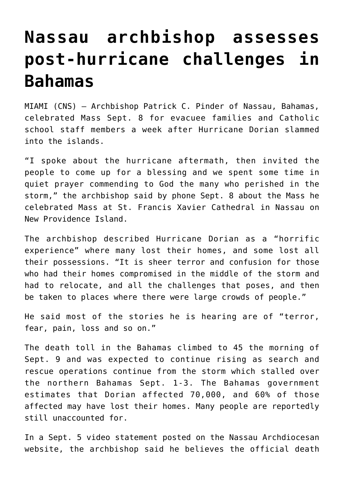## **[Nassau archbishop assesses](https://www.osvnews.com/2019/09/10/nassau-archbishop-assesses-post-hurricane-challenges-in-bahamas/) [post-hurricane challenges in](https://www.osvnews.com/2019/09/10/nassau-archbishop-assesses-post-hurricane-challenges-in-bahamas/) [Bahamas](https://www.osvnews.com/2019/09/10/nassau-archbishop-assesses-post-hurricane-challenges-in-bahamas/)**

MIAMI (CNS) — Archbishop Patrick C. Pinder of Nassau, Bahamas, celebrated Mass Sept. 8 for evacuee families and Catholic school staff members a week after Hurricane Dorian slammed into the islands.

"I spoke about the hurricane aftermath, then invited the people to come up for a blessing and we spent some time in quiet prayer commending to God the many who perished in the storm," the archbishop said by phone Sept. 8 about the Mass he celebrated Mass at St. Francis Xavier Cathedral in Nassau on New Providence Island.

The archbishop described Hurricane Dorian as a "horrific experience" where many lost their homes, and some lost all their possessions. "It is sheer terror and confusion for those who had their homes compromised in the middle of the storm and had to relocate, and all the challenges that poses, and then be taken to places where there were large crowds of people."

He said most of the stories he is hearing are of "terror, fear, pain, loss and so on."

The death toll in the Bahamas climbed to 45 the morning of Sept. 9 and was expected to continue rising as search and rescue operations continue from the storm which stalled over the northern Bahamas Sept. 1-3. The Bahamas government estimates that Dorian affected 70,000, and 60% of those affected may have lost their homes. Many people are reportedly still unaccounted for.

In a Sept. 5 video statement posted on the Nassau Archdiocesan website, the archbishop said he believes the official death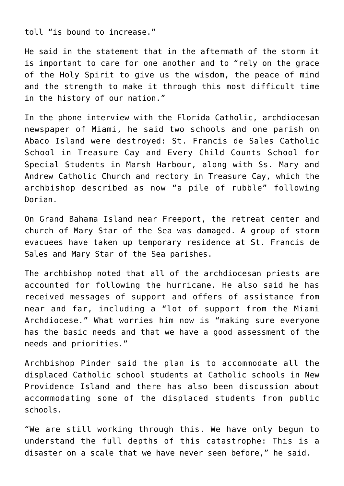toll "is bound to increase."

He said in the statement that in the aftermath of the storm it is important to care for one another and to "rely on the grace of the Holy Spirit to give us the wisdom, the peace of mind and the strength to make it through this most difficult time in the history of our nation."

In the phone interview with the Florida Catholic, archdiocesan newspaper of Miami, he said two schools and one parish on Abaco Island were destroyed: St. Francis de Sales Catholic School in Treasure Cay and Every Child Counts School for Special Students in Marsh Harbour, along with Ss. Mary and Andrew Catholic Church and rectory in Treasure Cay, which the archbishop described as now "a pile of rubble" following Dorian.

On Grand Bahama Island near Freeport, the retreat center and church of Mary Star of the Sea was damaged. A group of storm evacuees have taken up temporary residence at St. Francis de Sales and Mary Star of the Sea parishes.

The archbishop noted that all of the archdiocesan priests are accounted for following the hurricane. He also said he has received messages of support and offers of assistance from near and far, including a "lot of support from the Miami Archdiocese." What worries him now is "making sure everyone has the basic needs and that we have a good assessment of the needs and priorities."

Archbishop Pinder said the plan is to accommodate all the displaced Catholic school students at Catholic schools in New Providence Island and there has also been discussion about accommodating some of the displaced students from public schools.

"We are still working through this. We have only begun to understand the full depths of this catastrophe: This is a disaster on a scale that we have never seen before," he said.